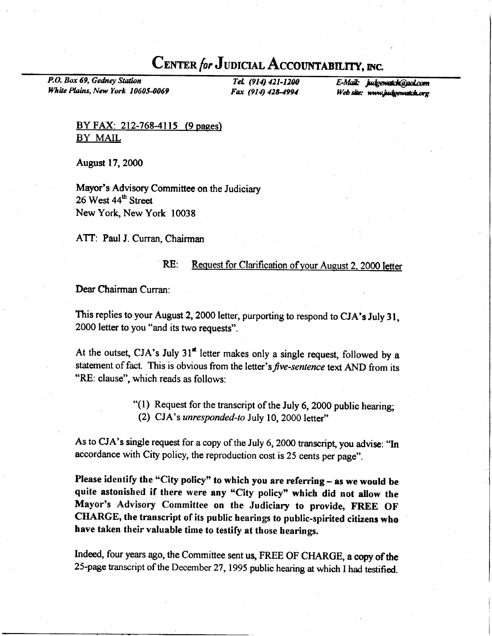# CENTER for JUDICIAL ACCOUNTABILITY, INC.

P.O. Box 69, Gedney Station White Plains, New York 10605-0069

Tel. (914) 421-1200 E-Mail: judgewatch@aol.com  $Fax$  (914) 428-4994 Web site: www.judgewatch.org

BY FAX: 212-768-4115 (9 pages) BY MAIL

August l7,2O0O

Mayor's Advisory Committee on the Judiciary 26 West 44<sup>th</sup> Street New York, New York 10038

ATT: Paul J. Curran, Chairman

#### RE: Request for Clarification of your August 2, 2000 letter

Dear Chairman Curran:

This replies to your August 2, 2000 letter, purporting to respond to CJA's July 31, 2000 letter to you "and its two requests".

At the outset, CJA's July  $31^{\text{st}}$  letter makes only a single request, followed by a statement of fact. This is obvious from the letter's *five-sentence* text AND from its "RE: clause", which reads as follows:

> '(l) Request for the transcript of the July 6, 2000 public hearing; (2) CJA's unresponded-to July 10, 2000 letter"

As to CJA's single request for a copy of the July 6, 2000 transcript, you advise: "In accordance with City policy, the reproduction cost is 25 cents per page".

Please identify the "City policy" to which you are referring - as we would be quite astonished if there were any "City policy" which did not allow the Mayor's Advisory committee on the Judiciary to provide, FREE oF CHARGE, the transcript of its public hearings to public-spirited citizens who have taken their valuable time to testify at those hearings.

Indeed, four years ago, the Committee sent us, FREE OF CHARGE, a copy of the 25-page transcript of the December 27, 1995 public hearing at which I had testified.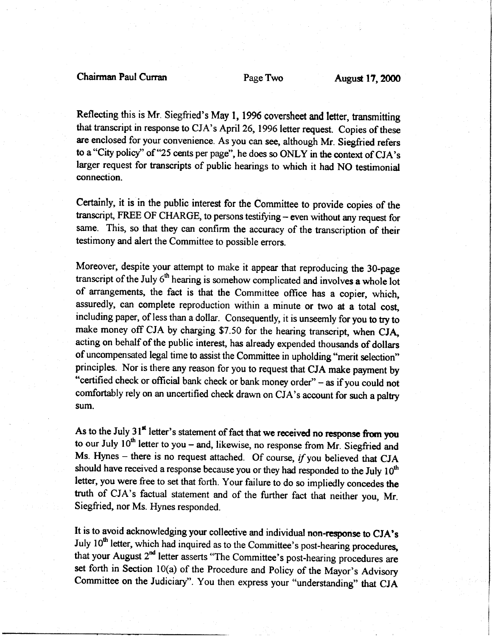Reflecting this is Mr. Siegfried's May 1, 1996 coversheet and letter, transmitting that transcript in response to CJA's April 26, 1996 letter request. Copies of these are enclosed for your convenience. As you can see, although Mr. Siegfried refers to a "City policy" of "25 cents per page", he does so ONLY in the context of CJA's larger request for transcripts of public hearings to which it had NO testimonial connection.

Certainly, it is in the public interest for the Committee to provide copies of the transcript, FREE OF CHARGE, to persons testifying - even without any request for same. This, so that they can confirm the accuracy of the transcription of their testimony and alert the Committee to possible errors.

Moreover, despite your attempt to make it appear that reproducing the 30-page transcript of the July 6<sup>th</sup> hearing is somehow complicated and involves a whole lot of arrangements, the fact is that the Committee office has a copier, which, assuredly, can complete reproduction within a minute or two at a total cost, including paper, of less than a dollar. Consequently, it is unseemly for you to try to make money off CJA by charging \$7.50 for the hearing transcript, when CJA, acting on behalf of the public interest, has already expended thousands of dollars of uncompensated legal time to assist the Committee in upholding "merit selection" principles. Nor is there any reason for you to request that CJA make payment by "certified check or official bank check or bank money order" - as if you could not comfortably rely on an uncertified check drawn on CJA's account for zuch a palty sum.

As to the July  $31<sup>st</sup>$  letter's statement of fact that we received no response from you to our July  $10<sup>th</sup>$  letter to you – and, likewise, no response from Mr. Siegfried and Ms. Hynes - there is no request attached. Of course,  $if$  you believed that CJA should have received a response because you or they had responded to the July  $10<sup>th</sup>$ letter, you were free to set that forth. Your failure to do so impliedly concedes the truth of CJA's factual statement and of the further fact that neither you, Mr. Siegfried, nor Ms. Hynes responded.

It is to avoid acknowledging your collective and individual non-rcsponse to CJA's July 10<sup>th</sup> letter, which had inquired as to the Committee's post-hearing procedures, that your August 2<sup>nd</sup> letter asserts "The Committee's post-hearing procedures are set forth in Section  $10(a)$  of the Procedure and Policy of the Mayor's Advisory Committee on the Judiciary". You then express your "understanding" that CJA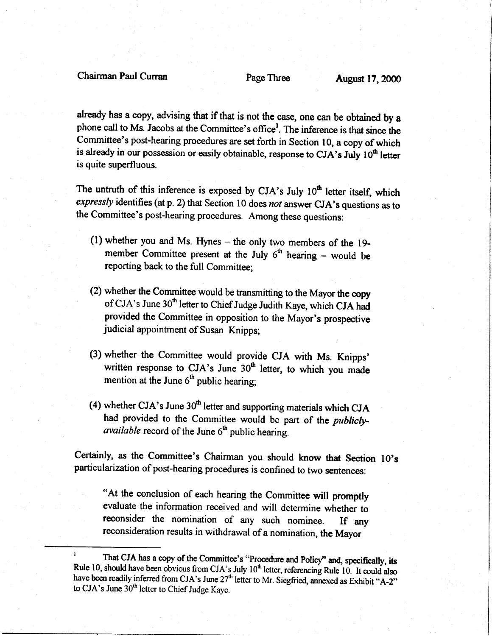# Chairman Paul Curran Page Three August 17,2000

already has a copy, advising that if that is not the case, one can be obtained by a phone call to Ms. Jacobs at the Committee's office<sup>1</sup>. The inference is that since the Committee's post-hearing procedures are set forth in Section 10, a copy of which is already in our possession or easily obtainable, response to CJA's July 10<sup>th</sup> letter is quite superfluous.

The untruth of this inference is exposed by CJA's July 10<sup>th</sup> letter itself, which expressly identifies (at p. 2) that Section 10 does not answer CJA's questions as to the committee's post-hearing procedures. Among these questions:

- (l) whether you and Ms. Hynes the only two members of the 19 member Committee present at the July  $6<sup>th</sup>$  hearing – would be reporting back to the full Committee;
- (2) whether the Committee would be transmitting to the Mayor the copy of CJA's June 30<sup>th</sup> letter to Chief Judge Judith Kaye, which CJA had provided the committee in opposition to the Mayor's prospective judicial appointment of Susan Knipps;
- (3) whether the committee would provide cJA with Ms. Knipps' written response to CJA's June 30<sup>th</sup> letter, to which you made mention at the June  $6<sup>th</sup>$  public hearing;
- (4) whether CJA's June  $30<sup>th</sup>$  letter and supporting materials which CJA had provided to the Committee would be part of the *publiclyavailable* record of the June  $6<sup>th</sup>$  public hearing.

Certainly, as the Committee's Chairman you should know that Section 10's particularization of post-hearing procedures is confined to two sentences:

"At the conclusion of each hearing the Committee will promptly evaluate the information received and will determine whether to reconsider the nomination of any such nominee. If any reconsideration results in withdrawal of a nomination, the Mayor

<sup>&</sup>lt;sup>1</sup> That CJA has a copy of the Committee's "Procedure and Policy" and, specifically, its Rule 10, should have been obvious from CJA's July  $10<sup>th</sup>$  letter, referencing Rule 10. It could also have been readily inferred from CJA's June  $27<sup>th</sup>$  letter to Mr. Siegfried, annexed as Exhibit "A-2" to CJA's June  $30<sup>th</sup>$  letter to Chief Judge Kaye.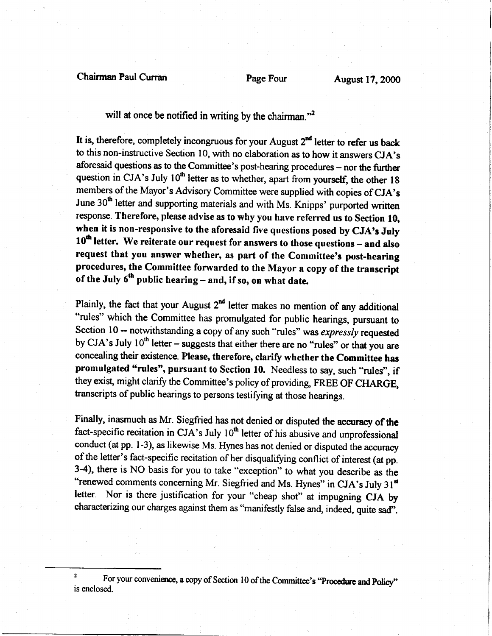## Chairman Paul Curran Page Four Page Four August 17, 2000

will at once be notified in writing by the chairman. $\frac{1}{2}$ 

It is, therefore, completely incongruous for your August  $2^{nd}$  letter to refer us back to this non-instructive Section 10, with no elaboration as to how it answers CJA's aforesaid questions as to the Committee's post-hearing procedures - nor the further question in CJA's July  $10<sup>th</sup>$  letter as to whether, apart from yourself, the other 18 members of the Mayor's Advisory Committee were supplied with copies of CJA's June 30<sup>th</sup> letter and supporting materials and with Ms. Knipps' purported written response. Therefore, please advise as to why you have referred us to Section 10, when it is non-responsive to the aforesaid five questions posed by CJA's July 10<sup>th</sup> letter. We reiterate our request for answers to those questions – and also request that you answer whether, as part of the Committee's post-hearing procedures, the Committee forvarded to the Mayor a copy of the transcript of the July  $6^{th}$  public hearing - and, if so, on what date.

Plainly, the fact that your August  $2^{nd}$  letter makes no mention of any additional "rules" which the Committee has promulgated for public hearings, pursuant to Section 10 -- notwithstanding a copy of any such "rules" was expressly requested by CJA's July  $10<sup>th</sup>$  letter – suggests that either there are no "rules" or that you are concealing their existence. Please, therefore, clarify whether the Committee hes promulgated "rules", pursuant to Section 10. Needless to say, such "rules", if they exist, might clarify the Committee's policy of providing, FREE OF CHARGE, transcripts of public hearings to persons testifying at those hearings.

Finally, inasmuch as Mr. Siegfried has not denied or disputed the accuracy of the fact-specific recitation in  $CJA$ 's July  $10<sup>th</sup>$  letter of his abusive and unprofessional conduct (at pp. l-3), as likewise Ms. Hynes has not denied or disputed the accuracy of the letter's fact-specific recitation of her disqualifying conflict of interest (at pp. 3-4), there is NO basis for you to take "exception" to what you describe as the "renewed comments concerning Mr. Siegfried and Ms. Hynes" in CJA's July  $31<sup>st</sup>$ letter. Nor is there justification for your "cheap shot" at impugning CJA by characterizing our charges against them as "manifestly false and, indeed, quite sad".

<sup>2</sup> For your convenience, a copy of Section 10 of the Committee's "Procedure and Policy" is enclosed.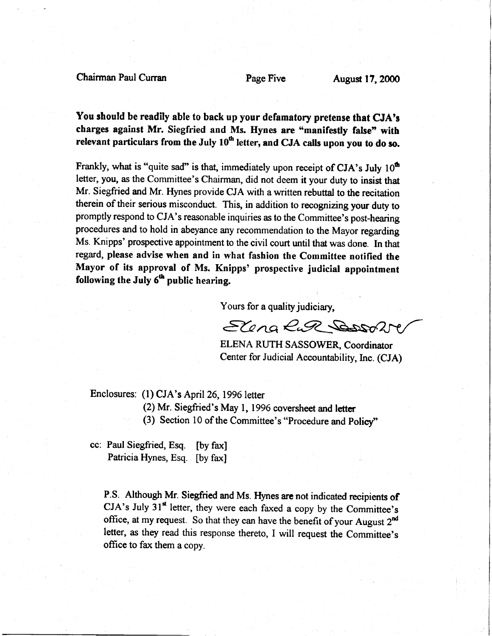Chairman Paul Curran **Page Pive** Page Pive August 17, 2000

You should be readily able to back up your defamatory pretense that CJA'g charges against Mr. Siegfried and Ms. Hynes are "manifestly false" with relevant particulars from the July  $10<sup>th</sup>$  letter, and CJA calls upon you to do so.

Frankly, what is "quite sad" is that, immediately upon receipt of CJA's July  $10^{th}$ letter, you, as the Committee's Chairman, did not deem it your duty to insist that Mr. Siegfried and Mr. Hynes provide CJA with a written rebuttal to the recitation therein of their serious misconduct. This, in addition to recognizing your duty to promptly respond to CJA's reasonable inquiries as to the Committee's post-hearing procedures and to hold in abeyance any recommendation to the Mayor regarding Ms. Knipps' prospective appointment to the civil court until that was done. In that regard, please advise when and in what fashion the Committee notified the Mayor of its approval of Ms. Knipps' prospective judicial appointment following the July  $6<sup>th</sup>$  public hearing.

Yours for a quality judiciary,

Elena Rud Door

ELENA RUTH SASSOWER, Coordinator Center for Judicial Accountability, Inc. (CJA)

Enclosures: (1) CJA's April 26, 1996 letter

(2) Mr. Siegfried's May l, 1996 coversheet and letter

(3) Section 10 of the Committee's "Procedure and Policy"

cc: Paul Siegfried, Esq. [by fax] Patricia Hynes, Esq. [by fax]

P.S. Although Mr. Siegfried and Ms. Hynes are not indicated recipients of  $CJA's July 31<sup>st</sup> letter, they were each faxed a copy by the Committee's$ office, at my request. So that they can have the benefit of your August 2<sup>nd</sup> letter, as they read this response thereto, I will request the Committee's office to fax them a copy.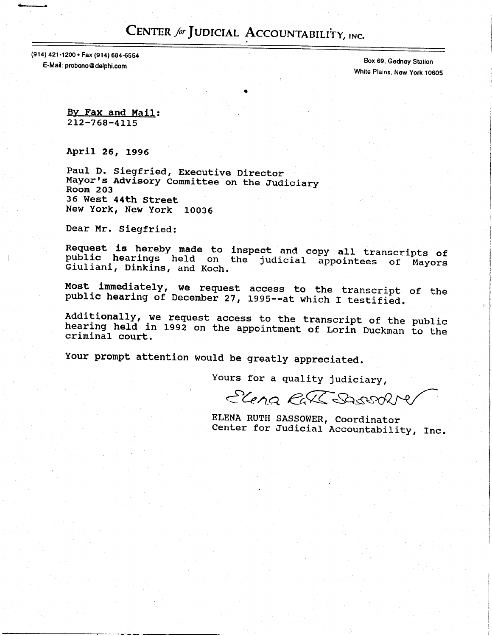# CENTER for JUDICIAL ACCOUNTABILITY, INC.

(914) 421-1200 · Fax (914) 684-6554 E-Mail: probono@delphi.com

Box 69, Gedney Station White Plains, New York 10605

By Fax and Mail:  $212 - 768 - 4115$ 

April 26, 1996

Paul D. Siegfried, Executive Director Mayor's Advisory Committee on the Judiciary Room 203 36 West 44th Street New York, New York 10036

Dear Mr. Siegfried:

Request is hereby made to inspect and copy all transcripts of<br>public hearings held on the judicial appointees of Mayors Giuliani, Dinkins, and Koch.

Most immediately, we request access to the transcript of the public hearing of December 27, 1995--at which I testified.

Additionally, we request access to the transcript of the public<br>hearing held in 1992 on the appointment of Lorin Duckman to the criminal court.

Your prompt attention would be greatly appreciated.

Yours for a quality judiciary,

Elena Rall Sacrofte

ELENA RUTH SASSOWER, Coordinator Center for Judicial Accountability, Inc.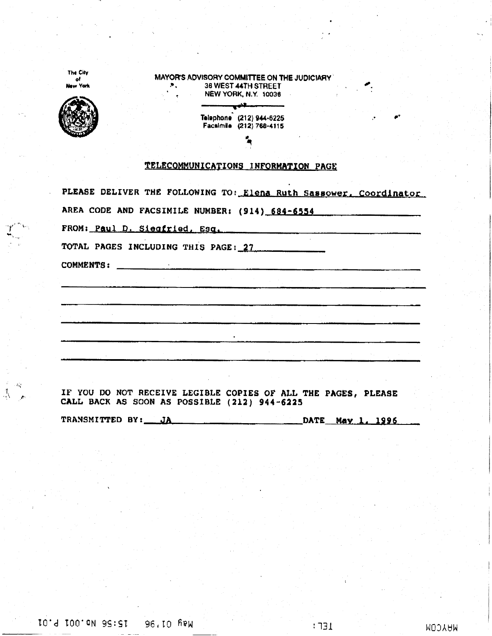|                                                                                                                                                                                             | 36 WEST 44TH STREET<br><b>NEW YORK, N.Y. 10036</b>                                                                                                                                                                              |  |                               |
|---------------------------------------------------------------------------------------------------------------------------------------------------------------------------------------------|---------------------------------------------------------------------------------------------------------------------------------------------------------------------------------------------------------------------------------|--|-------------------------------|
|                                                                                                                                                                                             | Telephone (212) 944-6225<br>Facsimile (212) 768-4115                                                                                                                                                                            |  |                               |
|                                                                                                                                                                                             |                                                                                                                                                                                                                                 |  |                               |
| TELECOMMUNICATIONS INFORMATION PAGE                                                                                                                                                         |                                                                                                                                                                                                                                 |  |                               |
|                                                                                                                                                                                             |                                                                                                                                                                                                                                 |  |                               |
| PLEASE DELIVER THE FOLLOWING TO: Elena Ruth Sassower, Coordinator<br>AREA CODE AND FACSIMILE NUMBER: (914) 684-6554<br>FROM: Paul D. Siegfried, Esq.<br>TOTAL PAGES INCLUDING THIS PAGE: 27 |                                                                                                                                                                                                                                 |  |                               |
|                                                                                                                                                                                             |                                                                                                                                                                                                                                 |  |                               |
|                                                                                                                                                                                             |                                                                                                                                                                                                                                 |  |                               |
|                                                                                                                                                                                             |                                                                                                                                                                                                                                 |  | provided a state of the state |
|                                                                                                                                                                                             |                                                                                                                                                                                                                                 |  |                               |
|                                                                                                                                                                                             |                                                                                                                                                                                                                                 |  |                               |
|                                                                                                                                                                                             |                                                                                                                                                                                                                                 |  |                               |
|                                                                                                                                                                                             |                                                                                                                                                                                                                                 |  |                               |
| <b>COMMENTS:</b>                                                                                                                                                                            | an di kacamatan yang bisang di sebagai di sebagai di sebagai di sebagai di sebagai di sebagai di sebagai di se<br>Sebagai di sebagai di sebagai di sebagai di sebagai di sebagai di sebagai di sebagai di sebagai di sebagai di |  |                               |

TRANSMITTED BY: ĴÀ DATE May 1, 1996

 $\omega_{\rm{max}}$  and  $\omega_{\rm{max}}$ 

 $\sum_{i=1}^{n}$ 

 $\begin{array}{c} \mathbb{R} \\ \mathbb{I}_N \end{array}$  $\langle E_{\rm q} \rangle$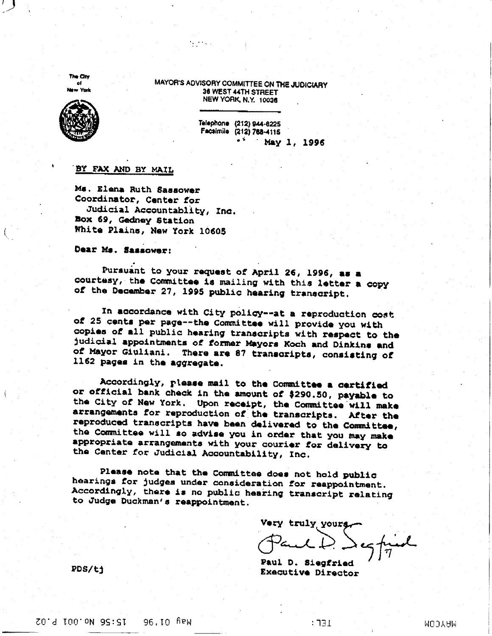**The City** of York

MAYOR'S ADVISORY COMMITTEE ON THE JUDICIARY 36 WEST 44TH STREET NEW YORK, N.Y. 10036

 $\sim 100$  km s  $^{-1}$ 



Telephone (212) 944-8225 Facsimile (212) 768-4115 a S May 1, 1996

#### BY FAX AND BY MAIL

Ms. Elena Ruth Sassower Coordinator, Center for Judicial Accountablity, Inc. Box 69, Gedney Station White Plains, New York 10605

Dear Ms. Sassower:

Pursuant to your request of April 26, 1996, as a courtesy, the Committee is mailing with this letter a copy of the December 27, 1995 public hearing transcript.

In accordance with City policy--at a reproduction cost of 25 cents per page--the Committee will provide you with copies of all public hearing transcripts with respect to the judicial appointments of former Mayors Koch and Dinkins and of Mayor Giuliani. There are 87 transcripts, consisting of 1162 pages in the aggregate.

Accordingly, please mail to the Committee a certified or official bank check in the amount of \$290.50, payable to the City of New York. Upon receipt, the Committee will make arrangements for reproduction of the transcripts. After the reproduced transcripts have been delivered to the Committee, the Committee will so advise you in order that you may make appropriate arrangements with your courier for delivery to the Center for Judicial Accountability, Inc.

Please note that the Committee does not hold public hearings for judges under consideration for reappointment. Accordingly, there is no public hearing transcript relating to Judge Duckman's reappointment.

**Very truly yours** 

Paul D. Siegfried Executive Director

PDS/ti

 $1E\Gamma:$